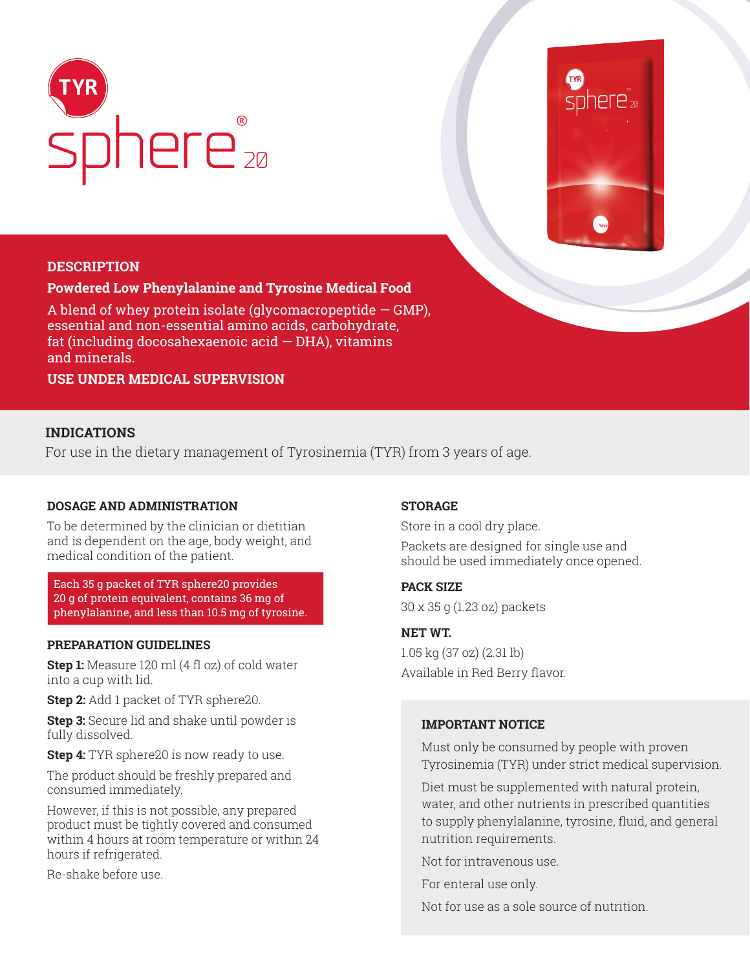



## **DESCRIPTION**

#### **Powdered Low Phenylalanine and Tyrosine Medical Food**

A blend of whey protein isolate (glycomacropeptide  $-$  GMP), essential and non-essential amino acids, carbohydrate, fat (including docosahexaenoic acid — DHA), vitamins and minerals.

**USE UNDER MEDICAL SUPERVISION**

# **INDICATIONS**

For use in the dietary management of Tyrosinemia (TYR) from 3 years of age.

#### **DOSAGE AND ADMINISTRATION**

To be determined by the clinician or dietitian and is dependent on the age, body weight, and medical condition of the patient.

Each 35 g packet of TYR sphere20 provides 20 g of protein equivalent, contains 36 mg of phenylalanine, and less than 10.5 mg of tyrosine.

## **PREPARATION GUIDELINES**

**Step 1:** Measure 120 ml (4 fl oz) of cold water into a cup with lid.

**Step 2:** Add 1 packet of TYR sphere20.

**Step 3:** Secure lid and shake until powder is fully dissolved.

**Step 4:** TYR sphere20 is now ready to use.

The product should be freshly prepared and consumed immediately.

However, if this is not possible, any prepared product must be tightly covered and consumed within 4 hours at room temperature or within 24 hours if refrigerated.

Re-shake before use.

## **STORAGE**

Store in a cool dry place. Packets are designed for single use and should be used immediately once opened.

#### **PACK SIZE**

30 x 35 g (1.23 oz) packets

# **NET WT.**

1.05 kg (37 oz) (2.31 lb) Available in Red Berry flavor.

#### **IMPORTANT NOTICE**

Must only be consumed by people with proven Tyrosinemia (TYR) under strict medical supervision.

Diet must be supplemented with natural protein, water, and other nutrients in prescribed quantities to supply phenylalanine, tyrosine, fluid, and general nutrition requirements.

Not for intravenous use.

For enteral use only.

Not for use as a sole source of nutrition.